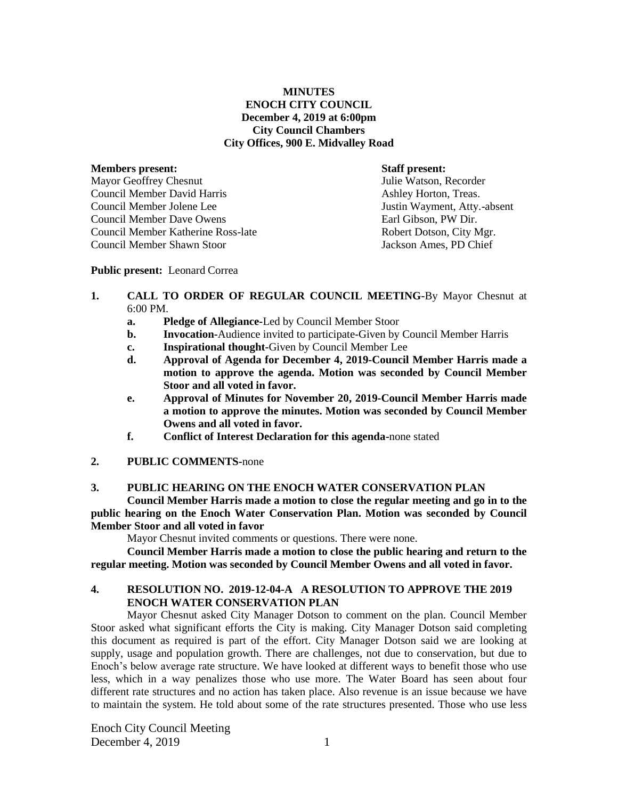# **MINUTES ENOCH CITY COUNCIL December 4, 2019 at 6:00pm City Council Chambers City Offices, 900 E. Midvalley Road**

# **Members present: Staff present:** Mayor Geoffrey Chesnut States and Tulie Watson, Recorder Council Member David Harris **Ashley Horton, Treas.** Ashley Horton, Treas. Council Member Jolene Lee Justin Wayment, Atty.-absent Council Member Dave Owens Earl Gibson, PW Dir. Council Member Katherine Ross-late Robert Dotson, City Mgr. Council Member Shawn Stoor Jackson Ames, PD Chief

#### **Public present:** Leonard Correa

- **1. CALL TO ORDER OF REGULAR COUNCIL MEETING-**By Mayor Chesnut at 6:00 PM.
	- **a. Pledge of Allegiance-**Led by Council Member Stoor
	- **b. Invocation-**Audience invited to participate-Given by Council Member Harris
	- **c. Inspirational thought-**Given by Council Member Lee
	- **d. Approval of Agenda for December 4, 2019-Council Member Harris made a motion to approve the agenda. Motion was seconded by Council Member Stoor and all voted in favor.**
	- **e. Approval of Minutes for November 20, 2019-Council Member Harris made a motion to approve the minutes. Motion was seconded by Council Member Owens and all voted in favor.**
	- **f. Conflict of Interest Declaration for this agenda-**none stated
- **2. PUBLIC COMMENTS-**none

## **3. PUBLIC HEARING ON THE ENOCH WATER CONSERVATION PLAN**

**Council Member Harris made a motion to close the regular meeting and go in to the public hearing on the Enoch Water Conservation Plan. Motion was seconded by Council Member Stoor and all voted in favor**

Mayor Chesnut invited comments or questions. There were none.

**Council Member Harris made a motion to close the public hearing and return to the regular meeting. Motion was seconded by Council Member Owens and all voted in favor.**

# **4. RESOLUTION NO. 2019-12-04-A A RESOLUTION TO APPROVE THE 2019 ENOCH WATER CONSERVATION PLAN**

Mayor Chesnut asked City Manager Dotson to comment on the plan. Council Member Stoor asked what significant efforts the City is making. City Manager Dotson said completing this document as required is part of the effort. City Manager Dotson said we are looking at supply, usage and population growth. There are challenges, not due to conservation, but due to Enoch's below average rate structure. We have looked at different ways to benefit those who use less, which in a way penalizes those who use more. The Water Board has seen about four different rate structures and no action has taken place. Also revenue is an issue because we have to maintain the system. He told about some of the rate structures presented. Those who use less

Enoch City Council Meeting December 4, 2019  $1$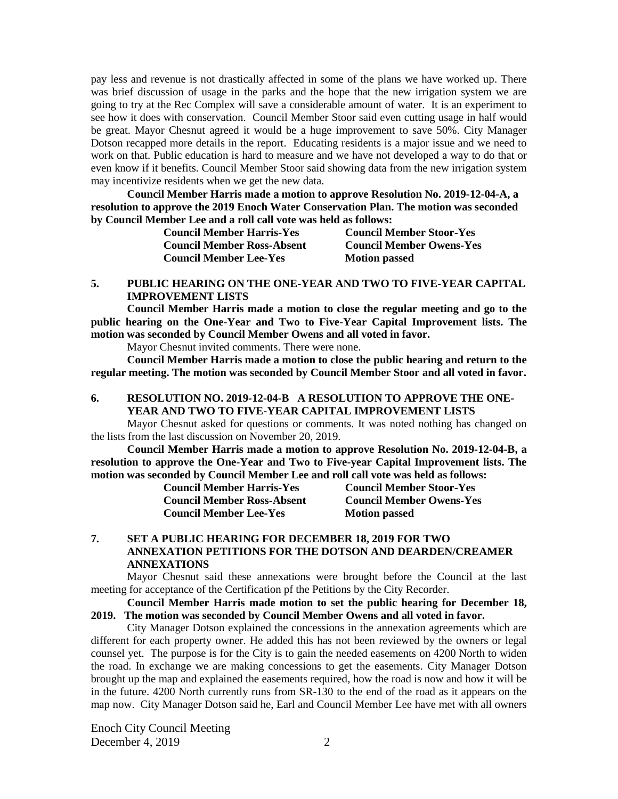pay less and revenue is not drastically affected in some of the plans we have worked up. There was brief discussion of usage in the parks and the hope that the new irrigation system we are going to try at the Rec Complex will save a considerable amount of water. It is an experiment to see how it does with conservation. Council Member Stoor said even cutting usage in half would be great. Mayor Chesnut agreed it would be a huge improvement to save 50%. City Manager Dotson recapped more details in the report. Educating residents is a major issue and we need to work on that. Public education is hard to measure and we have not developed a way to do that or even know if it benefits. Council Member Stoor said showing data from the new irrigation system may incentivize residents when we get the new data.

**Council Member Harris made a motion to approve Resolution No. 2019-12-04-A, a resolution to approve the 2019 Enoch Water Conservation Plan. The motion was seconded by Council Member Lee and a roll call vote was held as follows:**

| <b>Council Member Harris-Yes</b>  | <b>Council Member Stoor-Yes</b> |
|-----------------------------------|---------------------------------|
| <b>Council Member Ross-Absent</b> | <b>Council Member Owens-Yes</b> |
| <b>Council Member Lee-Yes</b>     | <b>Motion passed</b>            |

### **5. PUBLIC HEARING ON THE ONE-YEAR AND TWO TO FIVE-YEAR CAPITAL IMPROVEMENT LISTS**

**Council Member Harris made a motion to close the regular meeting and go to the public hearing on the One-Year and Two to Five-Year Capital Improvement lists. The motion was seconded by Council Member Owens and all voted in favor.**

Mayor Chesnut invited comments. There were none.

**Council Member Harris made a motion to close the public hearing and return to the regular meeting. The motion was seconded by Council Member Stoor and all voted in favor.**

## **6. RESOLUTION NO. 2019-12-04-B A RESOLUTION TO APPROVE THE ONE-YEAR AND TWO TO FIVE-YEAR CAPITAL IMPROVEMENT LISTS**

Mayor Chesnut asked for questions or comments. It was noted nothing has changed on the lists from the last discussion on November 20, 2019.

**Council Member Harris made a motion to approve Resolution No. 2019-12-04-B, a resolution to approve the One-Year and Two to Five-year Capital Improvement lists. The motion was seconded by Council Member Lee and roll call vote was held as follows:**

> **Council Member Ross-Absent Council Member Owens-Yes Council Member Lee-Yes Motion passed**

**Council Member Harris-Yes Council Member Stoor-Yes**

## **7. SET A PUBLIC HEARING FOR DECEMBER 18, 2019 FOR TWO ANNEXATION PETITIONS FOR THE DOTSON AND DEARDEN/CREAMER ANNEXATIONS**

Mayor Chesnut said these annexations were brought before the Council at the last meeting for acceptance of the Certification pf the Petitions by the City Recorder.

**Council Member Harris made motion to set the public hearing for December 18, 2019. The motion was seconded by Council Member Owens and all voted in favor.**

City Manager Dotson explained the concessions in the annexation agreements which are different for each property owner. He added this has not been reviewed by the owners or legal counsel yet. The purpose is for the City is to gain the needed easements on 4200 North to widen the road. In exchange we are making concessions to get the easements. City Manager Dotson brought up the map and explained the easements required, how the road is now and how it will be in the future. 4200 North currently runs from SR-130 to the end of the road as it appears on the map now. City Manager Dotson said he, Earl and Council Member Lee have met with all owners

Enoch City Council Meeting December 4, 2019  $\qquad \qquad$  2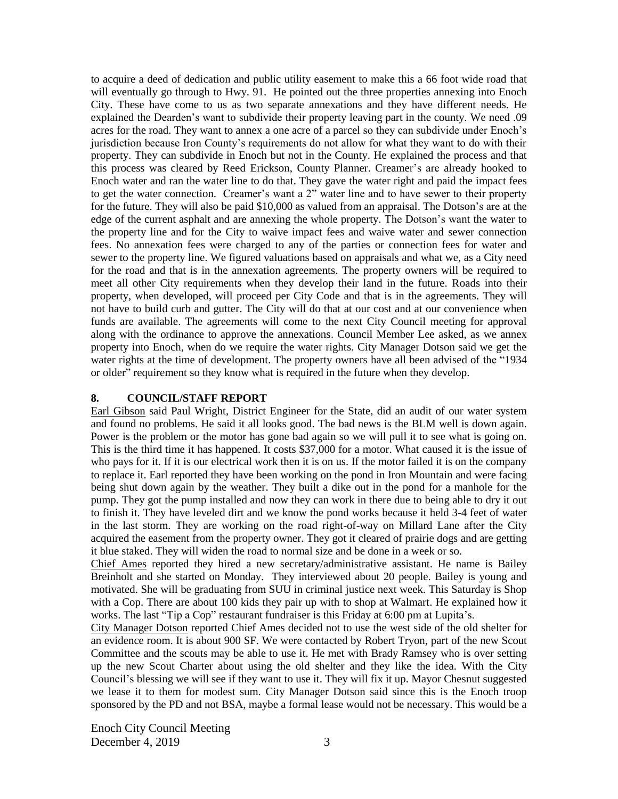to acquire a deed of dedication and public utility easement to make this a 66 foot wide road that will eventually go through to Hwy. 91. He pointed out the three properties annexing into Enoch City. These have come to us as two separate annexations and they have different needs. He explained the Dearden's want to subdivide their property leaving part in the county. We need .09 acres for the road. They want to annex a one acre of a parcel so they can subdivide under Enoch's jurisdiction because Iron County's requirements do not allow for what they want to do with their property. They can subdivide in Enoch but not in the County. He explained the process and that this process was cleared by Reed Erickson, County Planner. Creamer's are already hooked to Enoch water and ran the water line to do that. They gave the water right and paid the impact fees to get the water connection. Creamer's want a 2" water line and to have sewer to their property for the future. They will also be paid \$10,000 as valued from an appraisal. The Dotson's are at the edge of the current asphalt and are annexing the whole property. The Dotson's want the water to the property line and for the City to waive impact fees and waive water and sewer connection fees. No annexation fees were charged to any of the parties or connection fees for water and sewer to the property line. We figured valuations based on appraisals and what we, as a City need for the road and that is in the annexation agreements. The property owners will be required to meet all other City requirements when they develop their land in the future. Roads into their property, when developed, will proceed per City Code and that is in the agreements. They will not have to build curb and gutter. The City will do that at our cost and at our convenience when funds are available. The agreements will come to the next City Council meeting for approval along with the ordinance to approve the annexations. Council Member Lee asked, as we annex property into Enoch, when do we require the water rights. City Manager Dotson said we get the water rights at the time of development. The property owners have all been advised of the "1934 or older" requirement so they know what is required in the future when they develop.

#### **8. COUNCIL/STAFF REPORT**

Earl Gibson said Paul Wright, District Engineer for the State, did an audit of our water system and found no problems. He said it all looks good. The bad news is the BLM well is down again. Power is the problem or the motor has gone bad again so we will pull it to see what is going on. This is the third time it has happened. It costs \$37,000 for a motor. What caused it is the issue of who pays for it. If it is our electrical work then it is on us. If the motor failed it is on the company to replace it. Earl reported they have been working on the pond in Iron Mountain and were facing being shut down again by the weather. They built a dike out in the pond for a manhole for the pump. They got the pump installed and now they can work in there due to being able to dry it out to finish it. They have leveled dirt and we know the pond works because it held 3-4 feet of water in the last storm. They are working on the road right-of-way on Millard Lane after the City acquired the easement from the property owner. They got it cleared of prairie dogs and are getting it blue staked. They will widen the road to normal size and be done in a week or so.

Chief Ames reported they hired a new secretary/administrative assistant. He name is Bailey Breinholt and she started on Monday. They interviewed about 20 people. Bailey is young and motivated. She will be graduating from SUU in criminal justice next week. This Saturday is Shop with a Cop. There are about 100 kids they pair up with to shop at Walmart. He explained how it works. The last "Tip a Cop" restaurant fundraiser is this Friday at 6:00 pm at Lupita's.

City Manager Dotson reported Chief Ames decided not to use the west side of the old shelter for an evidence room. It is about 900 SF. We were contacted by Robert Tryon, part of the new Scout Committee and the scouts may be able to use it. He met with Brady Ramsey who is over setting up the new Scout Charter about using the old shelter and they like the idea. With the City Council's blessing we will see if they want to use it. They will fix it up. Mayor Chesnut suggested we lease it to them for modest sum. City Manager Dotson said since this is the Enoch troop sponsored by the PD and not BSA, maybe a formal lease would not be necessary. This would be a

Enoch City Council Meeting December 4, 2019  $\overline{3}$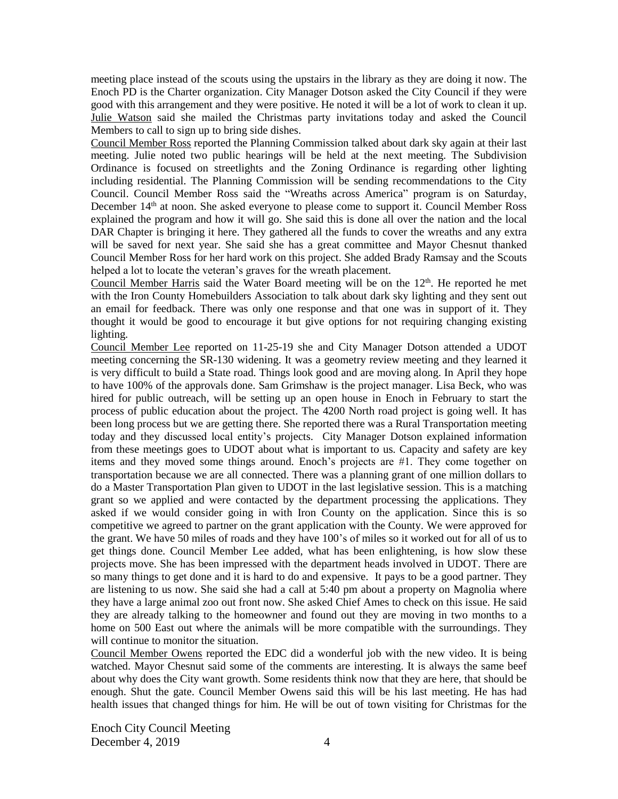meeting place instead of the scouts using the upstairs in the library as they are doing it now. The Enoch PD is the Charter organization. City Manager Dotson asked the City Council if they were good with this arrangement and they were positive. He noted it will be a lot of work to clean it up. Julie Watson said she mailed the Christmas party invitations today and asked the Council Members to call to sign up to bring side dishes.

Council Member Ross reported the Planning Commission talked about dark sky again at their last meeting. Julie noted two public hearings will be held at the next meeting. The Subdivision Ordinance is focused on streetlights and the Zoning Ordinance is regarding other lighting including residential. The Planning Commission will be sending recommendations to the City Council. Council Member Ross said the "Wreaths across America" program is on Saturday, December 14<sup>th</sup> at noon. She asked everyone to please come to support it. Council Member Ross explained the program and how it will go. She said this is done all over the nation and the local DAR Chapter is bringing it here. They gathered all the funds to cover the wreaths and any extra will be saved for next year. She said she has a great committee and Mayor Chesnut thanked Council Member Ross for her hard work on this project. She added Brady Ramsay and the Scouts helped a lot to locate the veteran's graves for the wreath placement.

Council Member Harris said the Water Board meeting will be on the 12<sup>th</sup>. He reported he met with the Iron County Homebuilders Association to talk about dark sky lighting and they sent out an email for feedback. There was only one response and that one was in support of it. They thought it would be good to encourage it but give options for not requiring changing existing lighting.

Council Member Lee reported on 11-25-19 she and City Manager Dotson attended a UDOT meeting concerning the SR-130 widening. It was a geometry review meeting and they learned it is very difficult to build a State road. Things look good and are moving along. In April they hope to have 100% of the approvals done. Sam Grimshaw is the project manager. Lisa Beck, who was hired for public outreach, will be setting up an open house in Enoch in February to start the process of public education about the project. The 4200 North road project is going well. It has been long process but we are getting there. She reported there was a Rural Transportation meeting today and they discussed local entity's projects. City Manager Dotson explained information from these meetings goes to UDOT about what is important to us. Capacity and safety are key items and they moved some things around. Enoch's projects are #1. They come together on transportation because we are all connected. There was a planning grant of one million dollars to do a Master Transportation Plan given to UDOT in the last legislative session. This is a matching grant so we applied and were contacted by the department processing the applications. They asked if we would consider going in with Iron County on the application. Since this is so competitive we agreed to partner on the grant application with the County. We were approved for the grant. We have 50 miles of roads and they have 100's of miles so it worked out for all of us to get things done. Council Member Lee added, what has been enlightening, is how slow these projects move. She has been impressed with the department heads involved in UDOT. There are so many things to get done and it is hard to do and expensive. It pays to be a good partner. They are listening to us now. She said she had a call at 5:40 pm about a property on Magnolia where they have a large animal zoo out front now. She asked Chief Ames to check on this issue. He said they are already talking to the homeowner and found out they are moving in two months to a home on 500 East out where the animals will be more compatible with the surroundings. They will continue to monitor the situation.

Council Member Owens reported the EDC did a wonderful job with the new video. It is being watched. Mayor Chesnut said some of the comments are interesting. It is always the same beef about why does the City want growth. Some residents think now that they are here, that should be enough. Shut the gate. Council Member Owens said this will be his last meeting. He has had health issues that changed things for him. He will be out of town visiting for Christmas for the

Enoch City Council Meeting December 4, 2019  $\overline{4}$